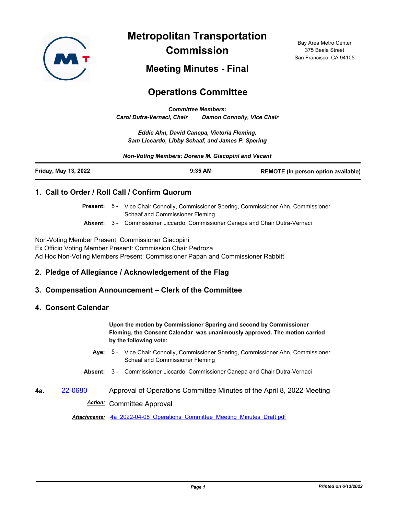

**Metropolitan Transportation Commission**

Bay Area Metro Center 375 Beale Street San Francisco, CA 94105

## **Meeting Minutes - Final**

# **Operations Committee**

*Committee Members: Carol Dutra-Vernaci, Chair Damon Connolly, Vice Chair*

*Eddie Ahn, David Canepa, Victoria Fleming, Sam Liccardo, Libby Schaaf, and James P. Spering*

*Non-Voting Members: Dorene M. Giacopini and Vacant*

| Friday, May 13, 2022 | $9:35$ AM | <b>REMOTE (In person option available)</b> |
|----------------------|-----------|--------------------------------------------|
|----------------------|-----------|--------------------------------------------|

#### **1. Call to Order / Roll Call / Confirm Quorum**

Present: 5 - Vice Chair Connolly, Commissioner Spering, Commissioner Ahn, Commissioner Schaaf and Commissioner Fleming

**Absent:** 3 - Commissioner Liccardo, Commissioner Canepa and Chair Dutra-Vernaci

Non-Voting Member Present: Commissioner Giacopini

Ex Officio Voting Member Present: Commission Chair Pedroza Ad Hoc Non-Voting Members Present: Commissioner Papan and Commissioner Rabbitt

#### **2. Pledge of Allegiance / Acknowledgement of the Flag**

#### **3. Compensation Announcement – Clerk of the Committee**

#### **4. Consent Calendar**

**Upon the motion by Commissioner Spering and second by Commissioner Fleming, the Consent Calendar was unanimously approved. The motion carried by the following vote:**

- Aye: 5 Vice Chair Connolly, Commissioner Spering, Commissioner Ahn, Commissioner Schaaf and Commissioner Fleming
- **Absent:** 3 Commissioner Liccardo, Commissioner Canepa and Chair Dutra-Vernaci
- **4a.** [22-0680](http://mtc.legistar.com/gateway.aspx?m=l&id=/matter.aspx?key=23939) Approval of Operations Committee Minutes of the April 8, 2022 Meeting *Action:* Committee Approval

*Attachments:* [4a\\_2022-04-08\\_Operations\\_Committee\\_Meeting\\_Minutes\\_Draft.pdf](http://mtc.legistar.com/gateway.aspx?M=F&ID=fe7af711-d35b-4cf1-a7c3-eedce647c1b9.pdf)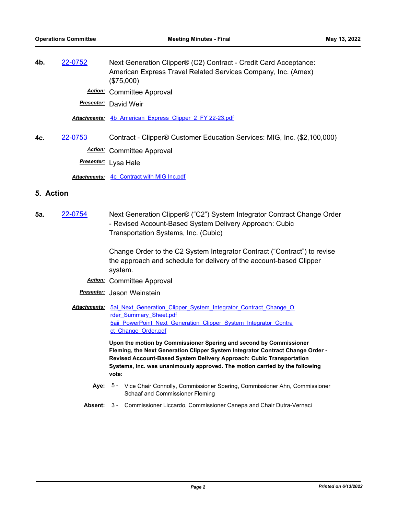**4b.** [22-0752](http://mtc.legistar.com/gateway.aspx?m=l&id=/matter.aspx?key=24011) Next Generation Clipper® (C2) Contract - Credit Card Acceptance: American Express Travel Related Services Company, Inc. (Amex) (\$75,000) *Action:* Committee Approval

*Presenter:* David Weir

*Attachments:* [4b\\_American\\_Express\\_Clipper\\_2\\_FY 22-23.pdf](http://mtc.legistar.com/gateway.aspx?M=F&ID=443f3ffe-4333-44a9-9c44-f5e8dd1824a9.pdf)

- **4c.** [22-0753](http://mtc.legistar.com/gateway.aspx?m=l&id=/matter.aspx?key=24012) Contract Clipper® Customer Education Services: MIG, Inc. (\$2,100,000)
	- *Action:* Committee Approval
	- *Presenter:* Lysa Hale

*Attachments:* [4c\\_Contract with MIG Inc.pdf](http://mtc.legistar.com/gateway.aspx?M=F&ID=17c47521-bc89-46fa-b78e-6cd0a0340870.pdf)

#### **5. Action**

**5a.** [22-0754](http://mtc.legistar.com/gateway.aspx?m=l&id=/matter.aspx?key=24013) Next Generation Clipper® ("C2") System Integrator Contract Change Order - Revised Account-Based System Delivery Approach: Cubic Transportation Systems, Inc. (Cubic)

> Change Order to the C2 System Integrator Contract ("Contract") to revise the approach and schedule for delivery of the account-based Clipper system.

- *Action:* Committee Approval
- *Presenter:* Jason Weinstein
- Attachments: 5ai Next Generation Clipper System Integrator Contract Change O rder Summary Sheet.pdf 5aii PowerPoint Next Generation Clipper System Integrator Contra ct\_Change\_Order.pdf

**Upon the motion by Commissioner Spering and second by Commissioner Fleming, the Next Generation Clipper System Integrator Contract Change Order - Revised Account-Based System Delivery Approach: Cubic Transportation Systems, Inc. was unanimously approved. The motion carried by the following vote:**

- Aye: 5 Vice Chair Connolly, Commissioner Spering, Commissioner Ahn, Commissioner Schaaf and Commissioner Fleming
- **Absent:** 3 Commissioner Liccardo, Commissioner Canepa and Chair Dutra-Vernaci